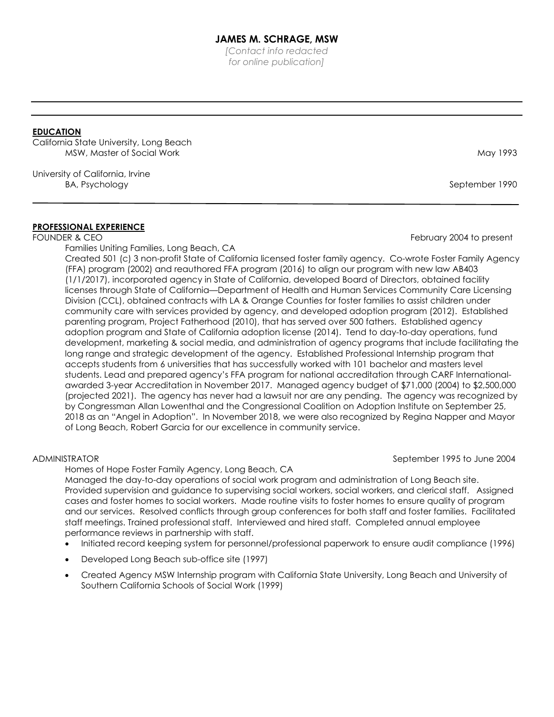*[Contact info redacted for online publication]*

# **EDUCATION**

California State University, Long Beach MSW, Master of Social Work May 1993 (May 1993) May 1993

University of California, Irvine BA, Psychology September 1990

#### **PROFESSIONAL EXPERIENCE**

Families Uniting Families, Long Beach, CA

Created 501 (c) 3 non-profit State of California licensed foster family agency. Co-wrote Foster Family Agency (FFA) program (2002) and reauthored FFA program (2016) to align our program with new law AB403 (1/1/2017), incorporated agency in State of California, developed Board of Directors, obtained facility licenses through State of California—Department of Health and Human Services Community Care Licensing Division (CCL), obtained contracts with LA & Orange Counties for foster families to assist children under community care with services provided by agency, and developed adoption program (2012). Established parenting program, Project Fatherhood (2010), that has served over 500 fathers. Established agency adoption program and State of California adoption license (2014). Tend to day-to-day operations, fund development, marketing & social media, and administration of agency programs that include facilitating the long range and strategic development of the agency. Established Professional Internship program that accepts students from 6 universities that has successfully worked with 101 bachelor and masters level students. Lead and prepared agency's FFA program for national accreditation through CARF Internationalawarded 3-year Accreditation in November 2017. Managed agency budget of \$71,000 (2004) to \$2,500,000 (projected 2021). The agency has never had a lawsuit nor are any pending. The agency was recognized by by Congressman Allan Lowenthal and the Congressional Coalition on Adoption Institute on September 25, 2018 as an "Angel in Adoption". In November 2018, we were also recognized by Regina Napper and Mayor of Long Beach, Robert Garcia for our excellence in community service.

#### ADMINISTRATOR **SEPTEMBER 1995 to June 2004**

Homes of Hope Foster Family Agency, Long Beach, CA

Managed the day-to-day operations of social work program and administration of Long Beach site. Provided supervision and guidance to supervising social workers, social workers, and clerical staff. Assigned cases and foster homes to social workers. Made routine visits to foster homes to ensure quality of program and our services. Resolved conflicts through group conferences for both staff and foster families. Facilitated staff meetings. Trained professional staff. Interviewed and hired staff. Completed annual employee performance reviews in partnership with staff.

- Initiated record keeping system for personnel/professional paperwork to ensure audit compliance (1996)
- Developed Long Beach sub-office site (1997)
- Created Agency MSW Internship program with California State University, Long Beach and University of Southern California Schools of Social Work (1999)

FOUNDER & CEO FEBRUARY 2004 to present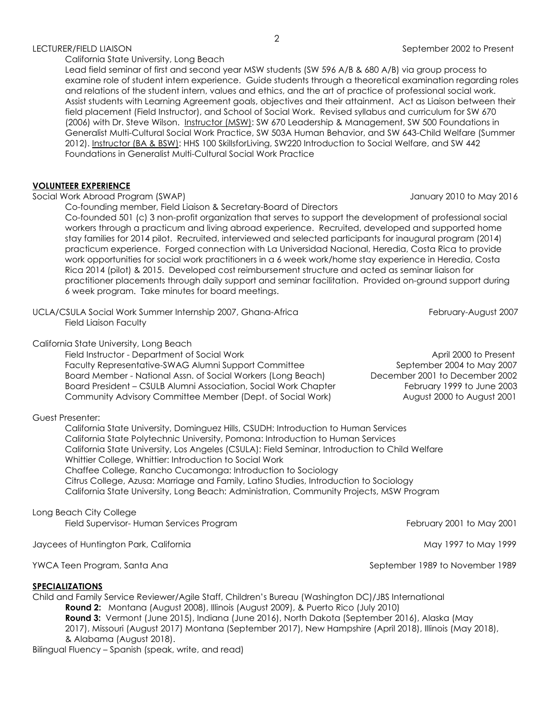#### LECTURER/FIELD LIAISON September 2002 to Present

#### California State University, Long Beach

Lead field seminar of first and second year MSW students (SW 596 A/B & 680 A/B) via group process to examine role of student intern experience. Guide students through a theoretical examination regarding roles and relations of the student intern, values and ethics, and the art of practice of professional social work. Assist students with Learning Agreement goals, objectives and their attainment. Act as Liaison between their field placement (Field Instructor), and School of Social Work. Revised syllabus and curriculum for SW 670 (2006) with Dr. Steve Wilson. Instructor (MSW): SW 670 Leadership & Management, SW 500 Foundations in Generalist Multi-Cultural Social Work Practice, SW 503A Human Behavior, and SW 643-Child Welfare (Summer 2012). Instructor (BA & BSW): HHS 100 SkillsforLiving, SW220 Introduction to Social Welfare, and SW 442 Foundations in Generalist Multi-Cultural Social Work Practice

## **VOLUNTEER EXPERIENCE**

Social Work Abroad Program (SWAP) January 2010 to May 2016

Co-founding member, Field Liaison & Secretary-Board of Directors

Co-founded 501 (c) 3 non-profit organization that serves to support the development of professional social workers through a practicum and living abroad experience. Recruited, developed and supported home stay families for 2014 pilot. Recruited, interviewed and selected participants for inaugural program (2014) practicum experience. Forged connection with La Universidad Nacional, Heredia, Costa Rica to provide work opportunities for social work practitioners in a 6 week work/home stay experience in Heredia, Costa Rica 2014 (pilot) & 2015. Developed cost reimbursement structure and acted as seminar liaison for practitioner placements through daily support and seminar facilitation. Provided on-ground support during 6 week program. Take minutes for board meetings.

UCLA/CSULA Social Work Summer Internship 2007, Ghana-Africa February-August 2007 Field Liaison Faculty

## California State University, Long Beach

Field Instructor - Department of Social Work April 2000 to Present Faculty Representative-SWAG Alumni Support Committee September 2004 to May 2007 Board Member - National Assn. of Social Workers (Long Beach) December 2001 to December 2002 Board President – CSULB Alumni Association, Social Work Chapter February 1999 to June 2003 Community Advisory Committee Member (Dept. of Social Work) August 2000 to August 2001

# Guest Presenter:

California State University, Dominguez Hills, CSUDH: Introduction to Human Services [California State Polytechnic University, Pomona:](http://aolsearch.aol.com/aol/redir?src=websearch&requestId=b93ee9e44e6440d2&clickedItemRank=1&userQuery=California+Polytechnic+Pomona&clickedItemURN=http%3A%2F%2Fwww.csupomona.edu%2F&title=California+State+Polytechnic+University%2C+Pomona) Introduction to Human Services California State University, Los Angeles (CSULA): Field Seminar, Introduction to Child Welfare Whittier College, Whittier: Introduction to Social Work Chaffee College, Rancho Cucamonga: Introduction to Sociology Citrus College, Azusa: Marriage and Family, Latino Studies, Introduction to Sociology California State University, Long Beach: Administration, Community Projects, MSW Program

# Long Beach City College

Field Supervisor- Human Services Program February 2001 to May 2001

Jaycees of Huntington Park, California May 1997 to May 1999 and May 1997 to May 1999

# **SPECIALIZATIONS**

Child and Family Service Reviewer/Agile Staff, Children's Bureau (Washington DC)/JBS International **Round 2:** Montana (August 2008), Illinois (August 2009), & Puerto Rico (July 2010) **Round 3:** Vermont (June 2015), Indiana (June 2016), North Dakota (September 2016), Alaska (May 2017), Missouri (August 2017) Montana (September 2017), New Hampshire (April 2018), Illinois (May 2018), & Alabama (August 2018).

Bilingual Fluency – Spanish (speak, write, and read)

YWCA Teen Program, Santa Ana September 1989 to November 1989 to November 1989 to November 1989